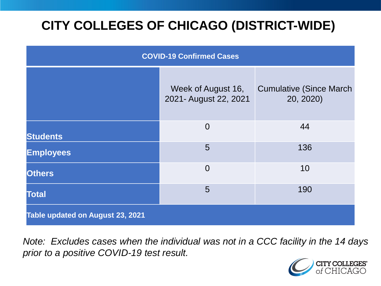# **CITY COLLEGES OF CHICAGO (DISTRICT-WIDE)**

| <b>COVID-19 Confirmed Cases</b>  |                                             |                                              |
|----------------------------------|---------------------------------------------|----------------------------------------------|
|                                  | Week of August 16,<br>2021- August 22, 2021 | <b>Cumulative (Since March)</b><br>20, 2020) |
| <b>Students</b>                  | $\overline{0}$                              | 44                                           |
| <b>Employees</b>                 | 5                                           | 136                                          |
| <b>Others</b>                    | $\overline{0}$                              | 10                                           |
| <b>Total</b>                     | 5                                           | 190                                          |
| Table updated on August 23, 2021 |                                             |                                              |

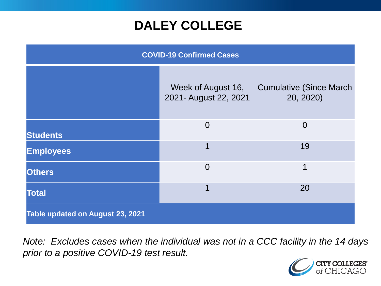### **DALEY COLLEGE**

| <b>COVID-19 Confirmed Cases</b>  |                                             |                                              |
|----------------------------------|---------------------------------------------|----------------------------------------------|
|                                  | Week of August 16,<br>2021- August 22, 2021 | <b>Cumulative (Since March)</b><br>20, 2020) |
| <b>Students</b>                  | $\overline{0}$                              | $\overline{0}$                               |
| <b>Employees</b>                 | 1                                           | 19                                           |
| <b>Others</b>                    | $\overline{0}$                              | 1                                            |
| <b>Total</b>                     | 1                                           | 20                                           |
| Table updated on August 23, 2021 |                                             |                                              |

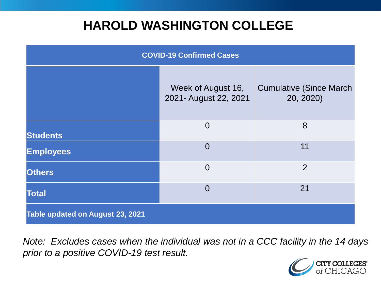### **HAROLD WASHINGTON COLLEGE**

| <b>COVID-19 Confirmed Cases</b>  |                                             |                                              |
|----------------------------------|---------------------------------------------|----------------------------------------------|
|                                  | Week of August 16,<br>2021- August 22, 2021 | <b>Cumulative (Since March)</b><br>20, 2020) |
| <b>Students</b>                  | $\overline{0}$                              | 8                                            |
| <b>Employees</b>                 | $\Omega$                                    | 11                                           |
| <b>Others</b>                    | $\overline{0}$                              | $\overline{2}$                               |
| <b>Total</b>                     | $\Omega$                                    | 21                                           |
| Table updated on August 23, 2021 |                                             |                                              |

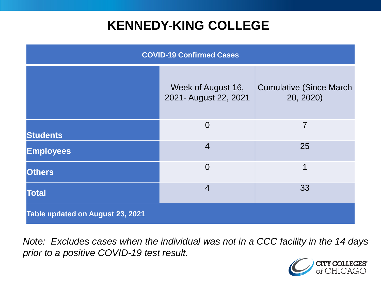### **KENNEDY-KING COLLEGE**

| <b>COVID-19 Confirmed Cases</b>  |                                             |                                              |
|----------------------------------|---------------------------------------------|----------------------------------------------|
|                                  | Week of August 16,<br>2021- August 22, 2021 | <b>Cumulative (Since March)</b><br>20, 2020) |
| <b>Students</b>                  | $\overline{0}$                              | 7                                            |
| <b>Employees</b>                 | $\overline{4}$                              | 25                                           |
| <b>Others</b>                    | $\overline{0}$                              | 1                                            |
| <b>Total</b>                     | $\overline{4}$                              | 33                                           |
| Table updated on August 23, 2021 |                                             |                                              |

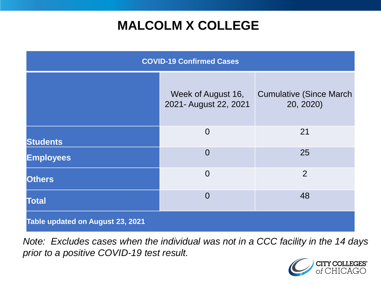# **MALCOLM X COLLEGE**

| <b>COVID-19 Confirmed Cases</b>  |                                             |                                              |
|----------------------------------|---------------------------------------------|----------------------------------------------|
|                                  | Week of August 16,<br>2021- August 22, 2021 | <b>Cumulative (Since March)</b><br>20, 2020) |
| <b>Students</b>                  | $\overline{0}$                              | 21                                           |
| <b>Employees</b>                 | $\overline{0}$                              | 25                                           |
| <b>Others</b>                    | $\overline{0}$                              | $\overline{2}$                               |
| <b>Total</b>                     | $\Omega$                                    | 48                                           |
| Table updated on August 23, 2021 |                                             |                                              |

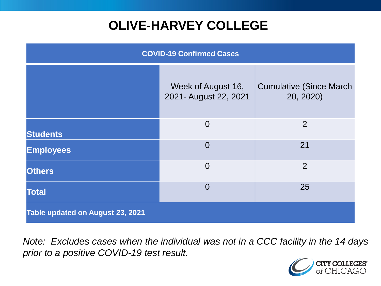# **OLIVE-HARVEY COLLEGE**

| <b>COVID-19 Confirmed Cases</b>  |                                             |                                              |
|----------------------------------|---------------------------------------------|----------------------------------------------|
|                                  | Week of August 16,<br>2021- August 22, 2021 | <b>Cumulative (Since March)</b><br>20, 2020) |
| <b>Students</b>                  | $\overline{0}$                              | 2                                            |
| <b>Employees</b>                 | $\overline{0}$                              | 21                                           |
| <b>Others</b>                    | $\overline{0}$                              | 2                                            |
| <b>Total</b>                     | $\overline{0}$                              | 25                                           |
| Table updated on August 23, 2021 |                                             |                                              |

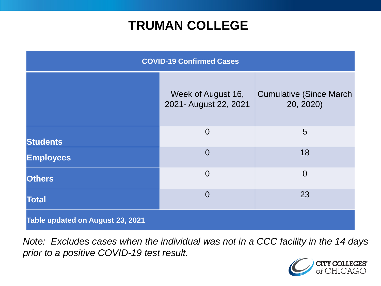### **TRUMAN COLLEGE**

| <b>COVID-19 Confirmed Cases</b>  |                                             |                                              |
|----------------------------------|---------------------------------------------|----------------------------------------------|
|                                  | Week of August 16,<br>2021- August 22, 2021 | <b>Cumulative (Since March)</b><br>20, 2020) |
| <b>Students</b>                  | $\overline{0}$                              | 5                                            |
| <b>Employees</b>                 | $\overline{0}$                              | 18                                           |
| <b>Others</b>                    | $\overline{0}$                              | $\overline{0}$                               |
| <b>Total</b>                     | $\overline{0}$                              | 23                                           |
| Table updated on August 23, 2021 |                                             |                                              |

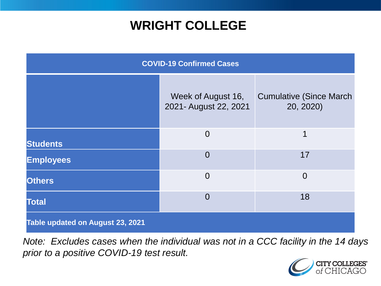### **WRIGHT COLLEGE**

| <b>COVID-19 Confirmed Cases</b>  |                                             |                                              |
|----------------------------------|---------------------------------------------|----------------------------------------------|
|                                  | Week of August 16,<br>2021- August 22, 2021 | <b>Cumulative (Since March)</b><br>20, 2020) |
| <b>Students</b>                  | $\overline{0}$                              | 1                                            |
| <b>Employees</b>                 | $\overline{0}$                              | 17                                           |
| <b>Others</b>                    | $\overline{0}$                              | $\overline{0}$                               |
| <b>Total</b>                     | $\overline{0}$                              | 18                                           |
| Table updated on August 23, 2021 |                                             |                                              |